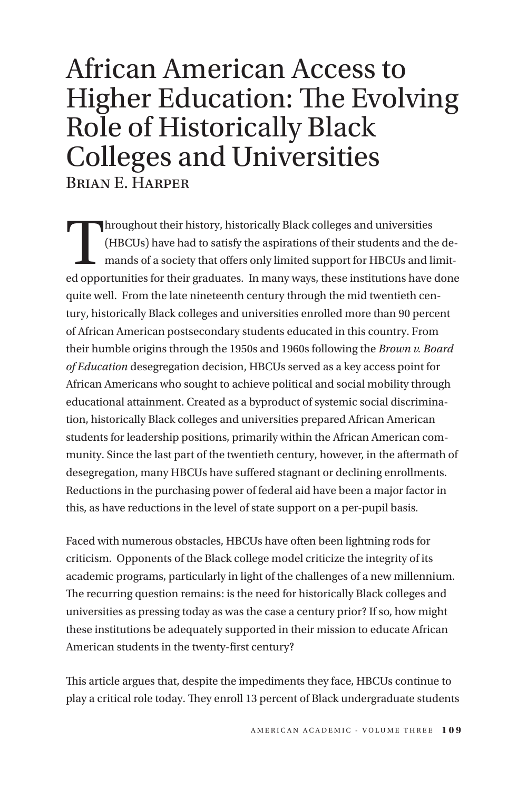# African American Access to Higher Education: The Evolving Role of Historically Black Colleges and Universities Brian E. Harper

Throughout their history, historically Black colleges and universities<br>(HBCUs) have had to satisfy the aspirations of their students and the<br>mands of a society that offers only limited support for HBCUs and li<br>ad opportuni (HBCUs) have had to satisfy the aspirations of their students and the demands of a society that offers only limited support for HBCUs and limited opportunities for their graduates. In many ways, these institutions have done quite well. From the late nineteenth century through the mid twentieth century, historically Black colleges and universities enrolled more than 90 percent of African American postsecondary students educated in this country. From their humble origins through the 1950s and 1960s following the *Brown v. Board of Education* desegregation decision, HBCUs served as a key access point for African Americans who sought to achieve political and social mobility through educational attainment. Created as a byproduct of systemic social discrimination, historically Black colleges and universities prepared African American students for leadership positions, primarily within the African American community. Since the last part of the twentieth century, however, in the aftermath of desegregation, many HBCUs have suffered stagnant or declining enrollments. Reductions in the purchasing power of federal aid have been a major factor in this, as have reductions in the level of state support on a per-pupil basis.

Faced with numerous obstacles, HBCUs have often been lightning rods for criticism. Opponents of the Black college model criticize the integrity of its academic programs, particularly in light of the challenges of a new millennium. The recurring question remains: is the need for historically Black colleges and universities as pressing today as was the case a century prior? If so, how might these institutions be adequately supported in their mission to educate African American students in the twenty-first century?

This article argues that, despite the impediments they face, HBCUs continue to play a critical role today. They enroll 13 percent of Black undergraduate students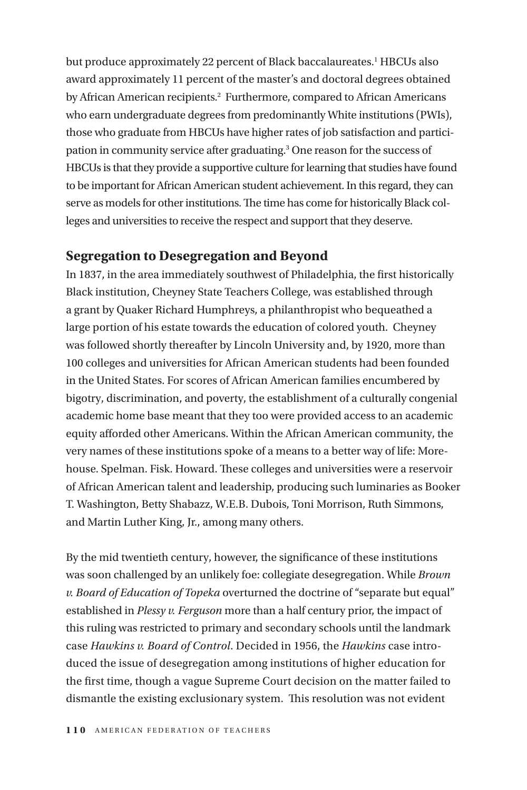but produce approximately 22 percent of Black baccalaureates.<sup>1</sup> HBCUs also award approximately 11 percent of the master's and doctoral degrees obtained by African American recipients.<sup>2</sup> Furthermore, compared to African Americans who earn undergraduate degrees from predominantly White institutions (PWIs), those who graduate from HBCUs have higher rates of job satisfaction and participation in community service after graduating.<sup>3</sup> One reason for the success of HBCUs is that they provide a supportive culture for learning that studies have found to be important for African American student achievement. In this regard, they can serve as models for other institutions. The time has come for historically Black colleges and universities to receive the respect and support that they deserve.

### **Segregation to Desegregation and Beyond**

In 1837, in the area immediately southwest of Philadelphia, the first historically Black institution, Cheyney State Teachers College, was established through a grant by Quaker Richard Humphreys, a philanthropist who bequeathed a large portion of his estate towards the education of colored youth. Cheyney was followed shortly thereafter by Lincoln University and, by 1920, more than 100 colleges and universities for African American students had been founded in the United States. For scores of African American families encumbered by bigotry, discrimination, and poverty, the establishment of a culturally congenial academic home base meant that they too were provided access to an academic equity afforded other Americans. Within the African American community, the very names of these institutions spoke of a means to a better way of life: Morehouse. Spelman. Fisk. Howard. These colleges and universities were a reservoir of African American talent and leadership, producing such luminaries as Booker T. Washington, Betty Shabazz, W.E.B. Dubois, Toni Morrison, Ruth Simmons, and Martin Luther King, Jr., among many others.

By the mid twentieth century, however, the significance of these institutions was soon challenged by an unlikely foe: collegiate desegregation. While *Brown v. Board of Education of Topeka* overturned the doctrine of "separate but equal" established in *Plessy v. Ferguson* more than a half century prior, the impact of this ruling was restricted to primary and secondary schools until the landmark case *Hawkins v. Board of Control*. Decided in 1956, the *Hawkins* case introduced the issue of desegregation among institutions of higher education for the first time, though a vague Supreme Court decision on the matter failed to dismantle the existing exclusionary system. This resolution was not evident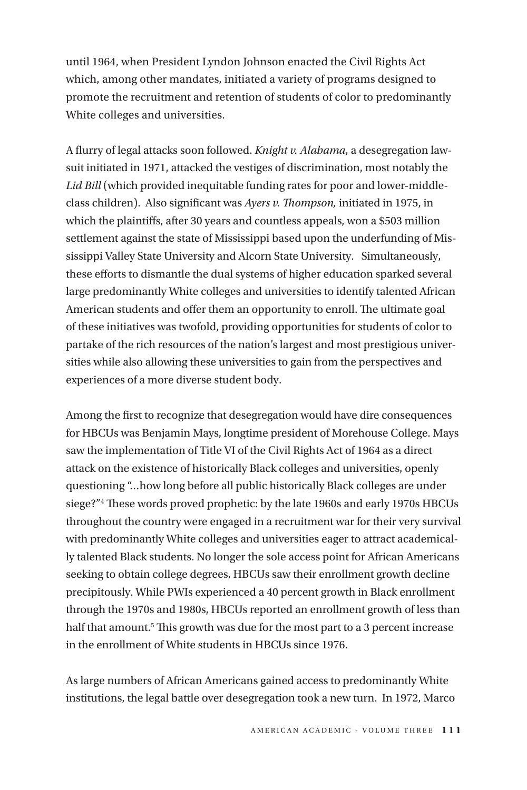until 1964, when President Lyndon Johnson enacted the Civil Rights Act which, among other mandates, initiated a variety of programs designed to promote the recruitment and retention of students of color to predominantly White colleges and universities.

A flurry of legal attacks soon followed. *Knight v. Alabama*, a desegregation lawsuit initiated in 1971, attacked the vestiges of discrimination, most notably the *Lid Bill* (which provided inequitable funding rates for poor and lower-middleclass children). Also significant was *Ayers v. Thompson,* initiated in 1975, in which the plaintiffs, after 30 years and countless appeals, won a \$503 million settlement against the state of Mississippi based upon the underfunding of Mississippi Valley State University and Alcorn State University. Simultaneously, these efforts to dismantle the dual systems of higher education sparked several large predominantly White colleges and universities to identify talented African American students and offer them an opportunity to enroll. The ultimate goal of these initiatives was twofold, providing opportunities for students of color to partake of the rich resources of the nation's largest and most prestigious universities while also allowing these universities to gain from the perspectives and experiences of a more diverse student body.

Among the first to recognize that desegregation would have dire consequences for HBCUs was Benjamin Mays, longtime president of Morehouse College. Mays saw the implementation of Title VI of the Civil Rights Act of 1964 as a direct attack on the existence of historically Black colleges and universities, openly questioning "…how long before all public historically Black colleges are under siege?"4 These words proved prophetic: by the late 1960s and early 1970s HBCUs throughout the country were engaged in a recruitment war for their very survival with predominantly White colleges and universities eager to attract academically talented Black students. No longer the sole access point for African Americans seeking to obtain college degrees, HBCUs saw their enrollment growth decline precipitously. While PWIs experienced a 40 percent growth in Black enrollment through the 1970s and 1980s, HBCUs reported an enrollment growth of less than half that amount.<sup>5</sup> This growth was due for the most part to a 3 percent increase in the enrollment of White students in HBCUs since 1976.

As large numbers of African Americans gained access to predominantly White institutions, the legal battle over desegregation took a new turn. In 1972, Marco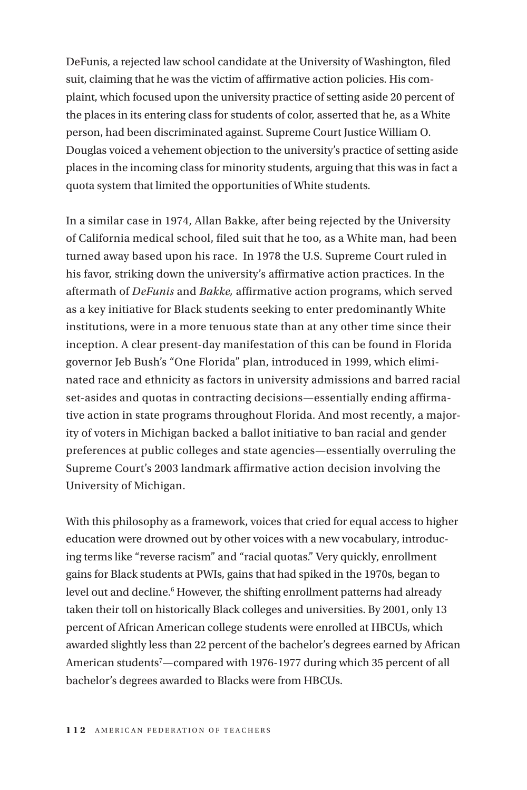DeFunis, a rejected law school candidate at the University of Washington, filed suit, claiming that he was the victim of affirmative action policies. His complaint, which focused upon the university practice of setting aside 20 percent of the places in its entering class for students of color, asserted that he, as a White person, had been discriminated against. Supreme Court Justice William O. Douglas voiced a vehement objection to the university's practice of setting aside places in the incoming class for minority students, arguing that this was in fact a quota system that limited the opportunities of White students.

In a similar case in 1974, Allan Bakke, after being rejected by the University of California medical school, filed suit that he too, as a White man, had been turned away based upon his race. In 1978 the U.S. Supreme Court ruled in his favor, striking down the university's affirmative action practices. In the aftermath of *DeFunis* and *Bakke,* affirmative action programs, which served as a key initiative for Black students seeking to enter predominantly White institutions, were in a more tenuous state than at any other time since their inception. A clear present-day manifestation of this can be found in Florida governor Jeb Bush's "One Florida" plan, introduced in 1999, which eliminated race and ethnicity as factors in university admissions and barred racial set-asides and quotas in contracting decisions—essentially ending affirmative action in state programs throughout Florida. And most recently, a majority of voters in Michigan backed a ballot initiative to ban racial and gender preferences at public colleges and state agencies—essentially overruling the Supreme Court's 2003 landmark affirmative action decision involving the University of Michigan.

With this philosophy as a framework, voices that cried for equal access to higher education were drowned out by other voices with a new vocabulary, introducing terms like "reverse racism" and "racial quotas." Very quickly, enrollment gains for Black students at PWIs, gains that had spiked in the 1970s, began to level out and decline.<sup>6</sup> However, the shifting enrollment patterns had already taken their toll on historically Black colleges and universities. By 2001, only 13 percent of African American college students were enrolled at HBCUs, which awarded slightly less than 22 percent of the bachelor's degrees earned by African American students<sup>7</sup>—compared with 1976-1977 during which 35 percent of all bachelor's degrees awarded to Blacks were from HBCUs.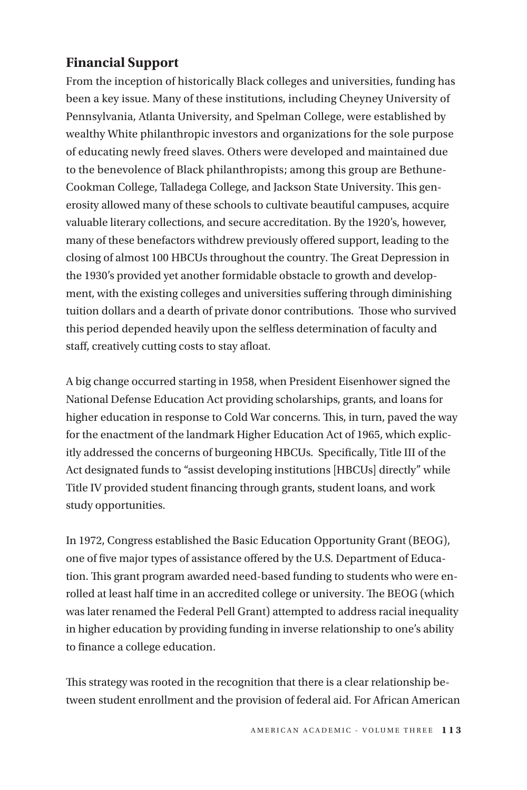# **Financial Support**

From the inception of historically Black colleges and universities, funding has been a key issue. Many of these institutions, including Cheyney University of Pennsylvania, Atlanta University, and Spelman College, were established by wealthy White philanthropic investors and organizations for the sole purpose of educating newly freed slaves. Others were developed and maintained due to the benevolence of Black philanthropists; among this group are Bethune-Cookman College, Talladega College, and Jackson State University. This generosity allowed many of these schools to cultivate beautiful campuses, acquire valuable literary collections, and secure accreditation. By the 1920's, however, many of these benefactors withdrew previously offered support, leading to the closing of almost 100 HBCUs throughout the country. The Great Depression in the 1930's provided yet another formidable obstacle to growth and development, with the existing colleges and universities suffering through diminishing tuition dollars and a dearth of private donor contributions. Those who survived this period depended heavily upon the selfless determination of faculty and staff, creatively cutting costs to stay afloat.

A big change occurred starting in 1958, when President Eisenhower signed the National Defense Education Act providing scholarships, grants, and loans for higher education in response to Cold War concerns. This, in turn, paved the way for the enactment of the landmark Higher Education Act of 1965, which explicitly addressed the concerns of burgeoning HBCUs. Specifically, Title III of the Act designated funds to "assist developing institutions [HBCUs] directly" while Title IV provided student financing through grants, student loans, and work study opportunities.

In 1972, Congress established the Basic Education Opportunity Grant (BEOG), one of five major types of assistance offered by the U.S. Department of Education. This grant program awarded need-based funding to students who were enrolled at least half time in an accredited college or university. The BEOG (which was later renamed the Federal Pell Grant) attempted to address racial inequality in higher education by providing funding in inverse relationship to one's ability to finance a college education.

This strategy was rooted in the recognition that there is a clear relationship between student enrollment and the provision of federal aid. For African American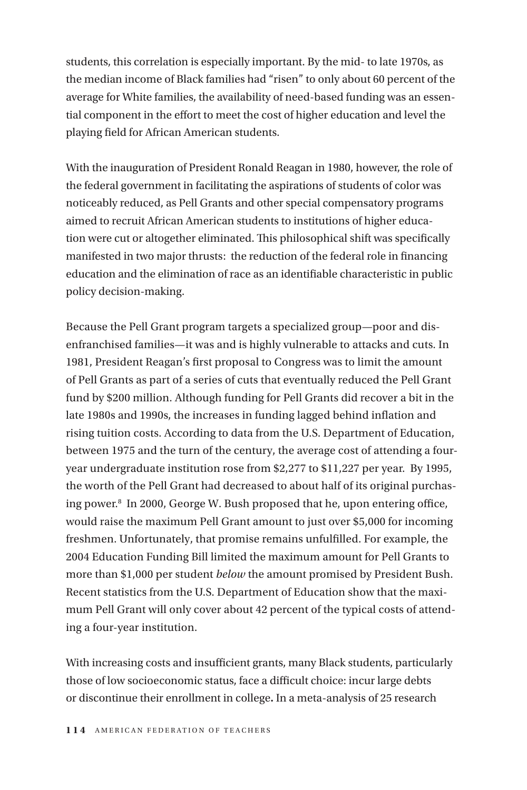students, this correlation is especially important. By the mid- to late 1970s, as the median income of Black families had "risen" to only about 60 percent of the average for White families, the availability of need-based funding was an essential component in the effort to meet the cost of higher education and level the playing field for African American students.

With the inauguration of President Ronald Reagan in 1980, however, the role of the federal government in facilitating the aspirations of students of color was noticeably reduced, as Pell Grants and other special compensatory programs aimed to recruit African American students to institutions of higher education were cut or altogether eliminated. This philosophical shift was specifically manifested in two major thrusts: the reduction of the federal role in financing education and the elimination of race as an identifiable characteristic in public policy decision-making.

Because the Pell Grant program targets a specialized group—poor and disenfranchised families—it was and is highly vulnerable to attacks and cuts. In 1981, President Reagan's first proposal to Congress was to limit the amount of Pell Grants as part of a series of cuts that eventually reduced the Pell Grant fund by \$200 million. Although funding for Pell Grants did recover a bit in the late 1980s and 1990s, the increases in funding lagged behind inflation and rising tuition costs. According to data from the U.S. Department of Education, between 1975 and the turn of the century, the average cost of attending a fouryear undergraduate institution rose from \$2,277 to \$11,227 per year. By 1995, the worth of the Pell Grant had decreased to about half of its original purchasing power.8 In 2000, George W. Bush proposed that he, upon entering office, would raise the maximum Pell Grant amount to just over \$5,000 for incoming freshmen. Unfortunately, that promise remains unfulfilled. For example, the 2004 Education Funding Bill limited the maximum amount for Pell Grants to more than \$1,000 per student *below* the amount promised by President Bush. Recent statistics from the U.S. Department of Education show that the maximum Pell Grant will only cover about 42 percent of the typical costs of attending a four-year institution.

With increasing costs and insufficient grants, many Black students, particularly those of low socioeconomic status, face a difficult choice: incur large debts or discontinue their enrollment in college**.** In a meta-analysis of 25 research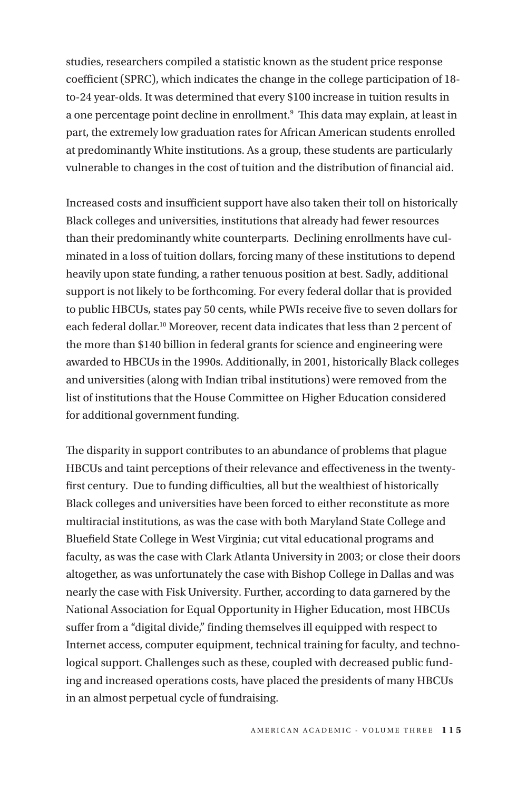studies, researchers compiled a statistic known as the student price response coefficient (SPRC), which indicates the change in the college participation of 18 to-24 year-olds. It was determined that every \$100 increase in tuition results in a one percentage point decline in enrollment.<sup>9</sup> This data may explain, at least in part, the extremely low graduation rates for African American students enrolled at predominantly White institutions. As a group, these students are particularly vulnerable to changes in the cost of tuition and the distribution of financial aid.

Increased costs and insufficient support have also taken their toll on historically Black colleges and universities, institutions that already had fewer resources than their predominantly white counterparts. Declining enrollments have culminated in a loss of tuition dollars, forcing many of these institutions to depend heavily upon state funding, a rather tenuous position at best. Sadly, additional support is not likely to be forthcoming. For every federal dollar that is provided to public HBCUs, states pay 50 cents, while PWIs receive five to seven dollars for each federal dollar.10 Moreover, recent data indicates that less than 2 percent of the more than \$140 billion in federal grants for science and engineering were awarded to HBCUs in the 1990s. Additionally, in 2001, historically Black colleges and universities (along with Indian tribal institutions) were removed from the list of institutions that the House Committee on Higher Education considered for additional government funding.

The disparity in support contributes to an abundance of problems that plague HBCUs and taint perceptions of their relevance and effectiveness in the twentyfirst century. Due to funding difficulties, all but the wealthiest of historically Black colleges and universities have been forced to either reconstitute as more multiracial institutions, as was the case with both Maryland State College and Bluefield State College in West Virginia; cut vital educational programs and faculty, as was the case with Clark Atlanta University in 2003; or close their doors altogether, as was unfortunately the case with Bishop College in Dallas and was nearly the case with Fisk University. Further, according to data garnered by the National Association for Equal Opportunity in Higher Education, most HBCUs suffer from a "digital divide," finding themselves ill equipped with respect to Internet access, computer equipment, technical training for faculty, and technological support. Challenges such as these, coupled with decreased public funding and increased operations costs, have placed the presidents of many HBCUs in an almost perpetual cycle of fundraising.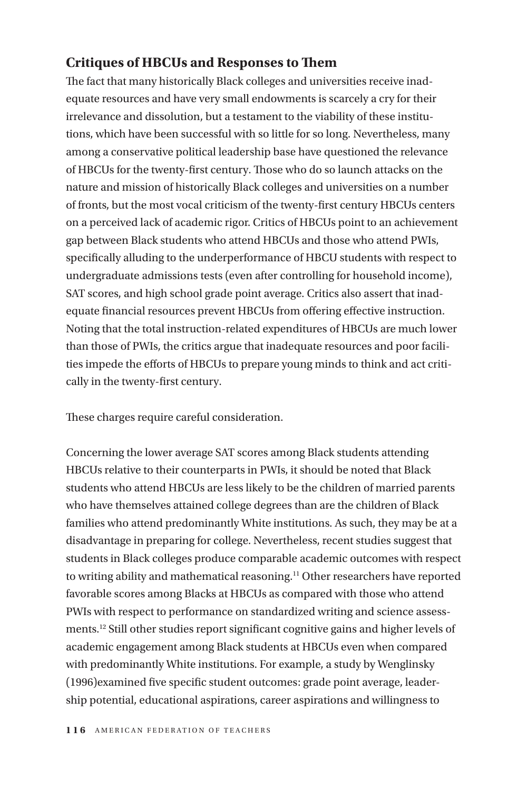# **Critiques of HBCUs and Responses to Them**

The fact that many historically Black colleges and universities receive inadequate resources and have very small endowments is scarcely a cry for their irrelevance and dissolution, but a testament to the viability of these institutions, which have been successful with so little for so long. Nevertheless, many among a conservative political leadership base have questioned the relevance of HBCUs for the twenty-first century. Those who do so launch attacks on the nature and mission of historically Black colleges and universities on a number of fronts, but the most vocal criticism of the twenty-first century HBCUs centers on a perceived lack of academic rigor. Critics of HBCUs point to an achievement gap between Black students who attend HBCUs and those who attend PWIs, specifically alluding to the underperformance of HBCU students with respect to undergraduate admissions tests (even after controlling for household income), SAT scores, and high school grade point average. Critics also assert that inadequate financial resources prevent HBCUs from offering effective instruction. Noting that the total instruction-related expenditures of HBCUs are much lower than those of PWIs, the critics argue that inadequate resources and poor facilities impede the efforts of HBCUs to prepare young minds to think and act critically in the twenty-first century.

These charges require careful consideration.

Concerning the lower average SAT scores among Black students attending HBCUs relative to their counterparts in PWIs, it should be noted that Black students who attend HBCUs are less likely to be the children of married parents who have themselves attained college degrees than are the children of Black families who attend predominantly White institutions. As such, they may be at a disadvantage in preparing for college. Nevertheless, recent studies suggest that students in Black colleges produce comparable academic outcomes with respect to writing ability and mathematical reasoning.11 Other researchers have reported favorable scores among Blacks at HBCUs as compared with those who attend PWIs with respect to performance on standardized writing and science assessments.12 Still other studies report significant cognitive gains and higher levels of academic engagement among Black students at HBCUs even when compared with predominantly White institutions. For example, a study by Wenglinsky (1996)examined five specific student outcomes: grade point average, leadership potential, educational aspirations, career aspirations and willingness to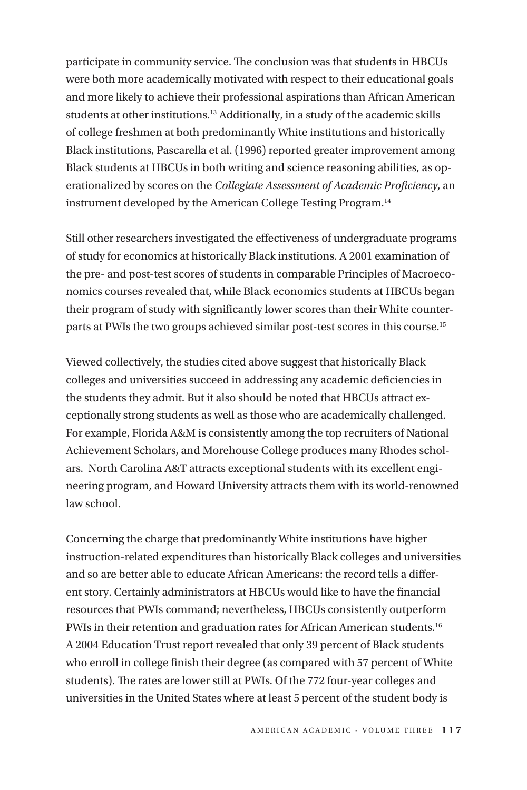participate in community service. The conclusion was that students in HBCUs were both more academically motivated with respect to their educational goals and more likely to achieve their professional aspirations than African American students at other institutions.<sup>13</sup> Additionally, in a study of the academic skills of college freshmen at both predominantly White institutions and historically Black institutions, Pascarella et al. (1996) reported greater improvement among Black students at HBCUs in both writing and science reasoning abilities, as operationalized by scores on the *Collegiate Assessment of Academic Proficiency*, an instrument developed by the American College Testing Program.14

Still other researchers investigated the effectiveness of undergraduate programs of study for economics at historically Black institutions. A 2001 examination of the pre- and post-test scores of students in comparable Principles of Macroeconomics courses revealed that, while Black economics students at HBCUs began their program of study with significantly lower scores than their White counterparts at PWIs the two groups achieved similar post-test scores in this course.15

Viewed collectively, the studies cited above suggest that historically Black colleges and universities succeed in addressing any academic deficiencies in the students they admit. But it also should be noted that HBCUs attract exceptionally strong students as well as those who are academically challenged. For example, Florida A&M is consistently among the top recruiters of National Achievement Scholars, and Morehouse College produces many Rhodes scholars. North Carolina A&T attracts exceptional students with its excellent engineering program, and Howard University attracts them with its world-renowned law school.

Concerning the charge that predominantly White institutions have higher instruction-related expenditures than historically Black colleges and universities and so are better able to educate African Americans: the record tells a different story. Certainly administrators at HBCUs would like to have the financial resources that PWIs command; nevertheless, HBCUs consistently outperform PWIs in their retention and graduation rates for African American students.<sup>16</sup> A 2004 Education Trust report revealed that only 39 percent of Black students who enroll in college finish their degree (as compared with 57 percent of White students). The rates are lower still at PWIs. Of the 772 four-year colleges and universities in the United States where at least 5 percent of the student body is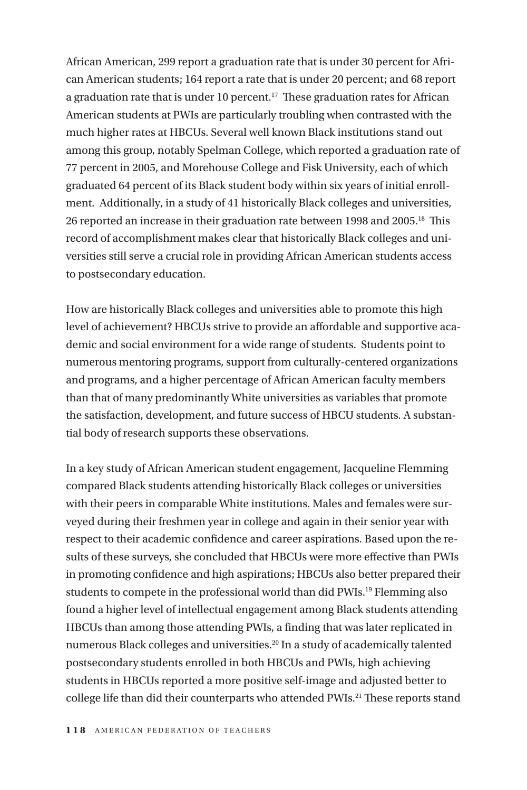African American, 299 report a graduation rate that is under 30 percent for African American students; 164 report a rate that is under 20 percent; and 68 report a graduation rate that is under 10 percent.<sup>17</sup> These graduation rates for African American students at PWIs are particularly troubling when contrasted with the much higher rates at HBCUs. Several well known Black institutions stand out among this group, notably Spelman College, which reported a graduation rate of 77 percent in 2005, and Morehouse College and Fisk University, each of which graduated 64 percent of its Black student body within six years of initial enrollment. Additionally, in a study of 41 historically Black colleges and universities, 26 reported an increase in their graduation rate between 1998 and 2005.<sup>18</sup> This record of accomplishment makes clear that historically Black colleges and universities still serve a crucial role in providing African American students access to postsecondary education.

How are historically Black colleges and universities able to promote this high level of achievement? HBCUs strive to provide an affordable and supportive academic and social environment for a wide range of students. Students point to numerous mentoring programs, support from culturally-centered organizations and programs, and a higher percentage of African American faculty members than that of many predominantly White universities as variables that promote the satisfaction, development, and future success of HBCU students. A substantial body of research supports these observations.

In a key study of African American student engagement, Jacqueline Flemming compared Black students attending historically Black colleges or universities with their peers in comparable White institutions. Males and females were surveyed during their freshmen year in college and again in their senior year with respect to their academic confidence and career aspirations. Based upon the results of these surveys, she concluded that HBCUs were more effective than PWIs in promoting confidence and high aspirations; HBCUs also better prepared their students to compete in the professional world than did PWIs.<sup>19</sup> Flemming also found a higher level of intellectual engagement among Black students attending HBCUs than among those attending PWIs, a finding that was later replicated in numerous Black colleges and universities.20 In a study of academically talented postsecondary students enrolled in both HBCUs and PWIs, high achieving students in HBCUs reported a more positive self-image and adjusted better to college life than did their counterparts who attended PWIs.<sup>21</sup> These reports stand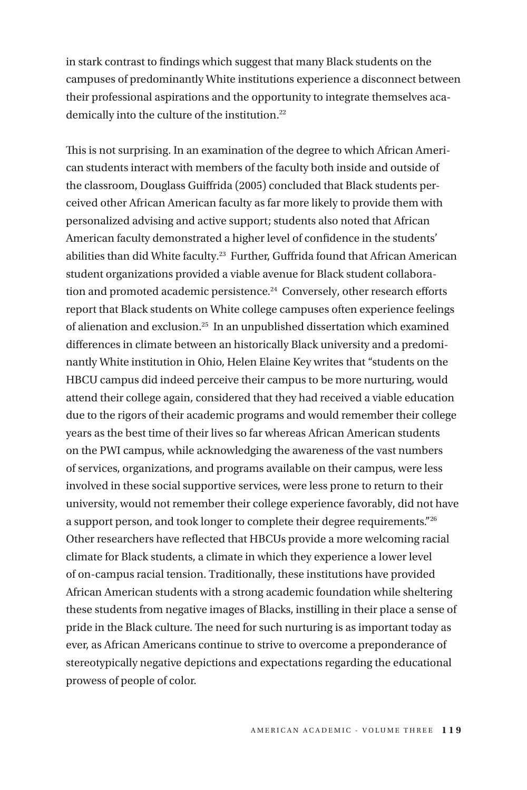in stark contrast to findings which suggest that many Black students on the campuses of predominantly White institutions experience a disconnect between their professional aspirations and the opportunity to integrate themselves academically into the culture of the institution.<sup>22</sup>

This is not surprising. In an examination of the degree to which African American students interact with members of the faculty both inside and outside of the classroom, Douglass Guiffrida (2005) concluded that Black students perceived other African American faculty as far more likely to provide them with personalized advising and active support; students also noted that African American faculty demonstrated a higher level of confidence in the students' abilities than did White faculty.23 Further, Guffrida found that African American student organizations provided a viable avenue for Black student collaboration and promoted academic persistence.<sup>24</sup> Conversely, other research efforts report that Black students on White college campuses often experience feelings of alienation and exclusion.25 In an unpublished dissertation which examined differences in climate between an historically Black university and a predominantly White institution in Ohio, Helen Elaine Key writes that "students on the HBCU campus did indeed perceive their campus to be more nurturing, would attend their college again, considered that they had received a viable education due to the rigors of their academic programs and would remember their college years as the best time of their lives so far whereas African American students on the PWI campus, while acknowledging the awareness of the vast numbers of services, organizations, and programs available on their campus, were less involved in these social supportive services, were less prone to return to their university, would not remember their college experience favorably, did not have a support person, and took longer to complete their degree requirements."26 Other researchers have reflected that HBCUs provide a more welcoming racial climate for Black students, a climate in which they experience a lower level of on-campus racial tension. Traditionally, these institutions have provided African American students with a strong academic foundation while sheltering these students from negative images of Blacks, instilling in their place a sense of pride in the Black culture. The need for such nurturing is as important today as ever, as African Americans continue to strive to overcome a preponderance of stereotypically negative depictions and expectations regarding the educational prowess of people of color.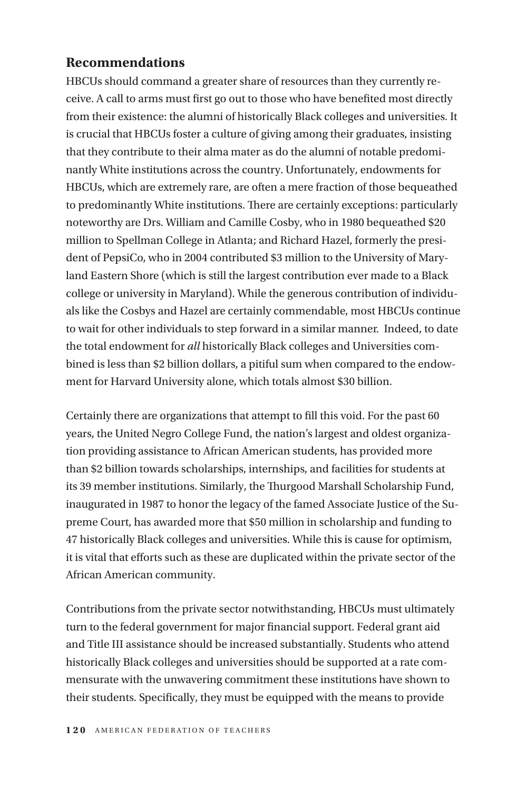## **Recommendations**

HBCUs should command a greater share of resources than they currently receive. A call to arms must first go out to those who have benefited most directly from their existence: the alumni of historically Black colleges and universities. It is crucial that HBCUs foster a culture of giving among their graduates, insisting that they contribute to their alma mater as do the alumni of notable predominantly White institutions across the country. Unfortunately, endowments for HBCUs, which are extremely rare, are often a mere fraction of those bequeathed to predominantly White institutions. There are certainly exceptions: particularly noteworthy are Drs. William and Camille Cosby, who in 1980 bequeathed \$20 million to Spellman College in Atlanta; and Richard Hazel, formerly the president of PepsiCo, who in 2004 contributed \$3 million to the University of Maryland Eastern Shore (which is still the largest contribution ever made to a Black college or university in Maryland). While the generous contribution of individuals like the Cosbys and Hazel are certainly commendable, most HBCUs continue to wait for other individuals to step forward in a similar manner. Indeed, to date the total endowment for *all* historically Black colleges and Universities combined is less than \$2 billion dollars, a pitiful sum when compared to the endowment for Harvard University alone, which totals almost \$30 billion.

Certainly there are organizations that attempt to fill this void. For the past 60 years, the United Negro College Fund, the nation's largest and oldest organization providing assistance to African American students, has provided more than \$2 billion towards scholarships, internships, and facilities for students at its 39 member institutions. Similarly, the Thurgood Marshall Scholarship Fund, inaugurated in 1987 to honor the legacy of the famed Associate Justice of the Supreme Court, has awarded more that \$50 million in scholarship and funding to 47 historically Black colleges and universities. While this is cause for optimism, it is vital that efforts such as these are duplicated within the private sector of the African American community.

Contributions from the private sector notwithstanding, HBCUs must ultimately turn to the federal government for major financial support. Federal grant aid and Title III assistance should be increased substantially. Students who attend historically Black colleges and universities should be supported at a rate commensurate with the unwavering commitment these institutions have shown to their students. Specifically, they must be equipped with the means to provide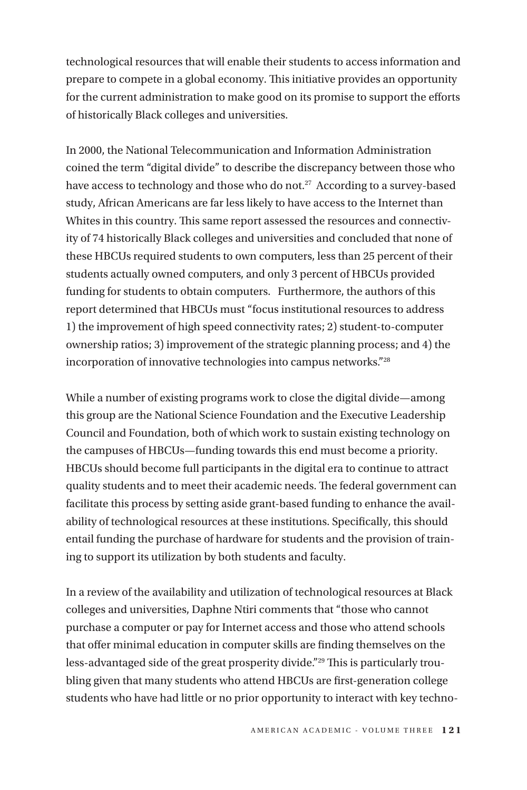technological resources that will enable their students to access information and prepare to compete in a global economy. This initiative provides an opportunity for the current administration to make good on its promise to support the efforts of historically Black colleges and universities.

In 2000, the National Telecommunication and Information Administration coined the term "digital divide" to describe the discrepancy between those who have access to technology and those who do not.<sup>27</sup> According to a survey-based study, African Americans are far less likely to have access to the Internet than Whites in this country. This same report assessed the resources and connectivity of 74 historically Black colleges and universities and concluded that none of these HBCUs required students to own computers, less than 25 percent of their students actually owned computers, and only 3 percent of HBCUs provided funding for students to obtain computers. Furthermore, the authors of this report determined that HBCUs must "focus institutional resources to address 1) the improvement of high speed connectivity rates; 2) student-to-computer ownership ratios; 3) improvement of the strategic planning process; and 4) the incorporation of innovative technologies into campus networks."28

While a number of existing programs work to close the digital divide—among this group are the National Science Foundation and the Executive Leadership Council and Foundation, both of which work to sustain existing technology on the campuses of HBCUs—funding towards this end must become a priority. HBCUs should become full participants in the digital era to continue to attract quality students and to meet their academic needs. The federal government can facilitate this process by setting aside grant-based funding to enhance the availability of technological resources at these institutions. Specifically, this should entail funding the purchase of hardware for students and the provision of training to support its utilization by both students and faculty.

In a review of the availability and utilization of technological resources at Black colleges and universities, Daphne Ntiri comments that "those who cannot purchase a computer or pay for Internet access and those who attend schools that offer minimal education in computer skills are finding themselves on the less-advantaged side of the great prosperity divide."29 This is particularly troubling given that many students who attend HBCUs are first-generation college students who have had little or no prior opportunity to interact with key techno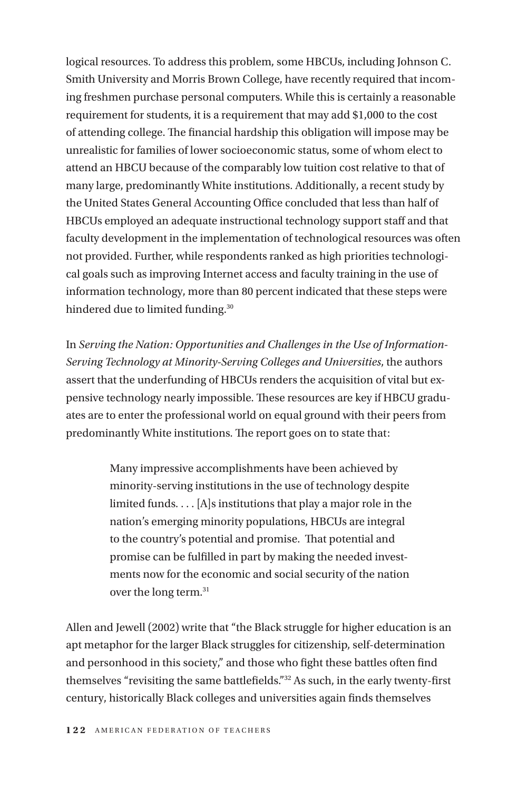logical resources. To address this problem, some HBCUs, including Johnson C. Smith University and Morris Brown College, have recently required that incoming freshmen purchase personal computers. While this is certainly a reasonable requirement for students, it is a requirement that may add \$1,000 to the cost of attending college. The financial hardship this obligation will impose may be unrealistic for families of lower socioeconomic status, some of whom elect to attend an HBCU because of the comparably low tuition cost relative to that of many large, predominantly White institutions. Additionally, a recent study by the United States General Accounting Office concluded that less than half of HBCUs employed an adequate instructional technology support staff and that faculty development in the implementation of technological resources was often not provided. Further, while respondents ranked as high priorities technological goals such as improving Internet access and faculty training in the use of information technology, more than 80 percent indicated that these steps were hindered due to limited funding.<sup>30</sup>

In *Serving the Nation: Opportunities and Challenges in the Use of Information-Serving Technology at Minority-Serving Colleges and Universities*, the authors assert that the underfunding of HBCUs renders the acquisition of vital but expensive technology nearly impossible. These resources are key if HBCU graduates are to enter the professional world on equal ground with their peers from predominantly White institutions. The report goes on to state that:

> Many impressive accomplishments have been achieved by minority-serving institutions in the use of technology despite limited funds. . . . [A]s institutions that play a major role in the nation's emerging minority populations, HBCUs are integral to the country's potential and promise. That potential and promise can be fulfilled in part by making the needed investments now for the economic and social security of the nation over the long term.31

Allen and Jewell (2002) write that "the Black struggle for higher education is an apt metaphor for the larger Black struggles for citizenship, self-determination and personhood in this society," and those who fight these battles often find themselves "revisiting the same battlefields."32 As such, in the early twenty-first century, historically Black colleges and universities again finds themselves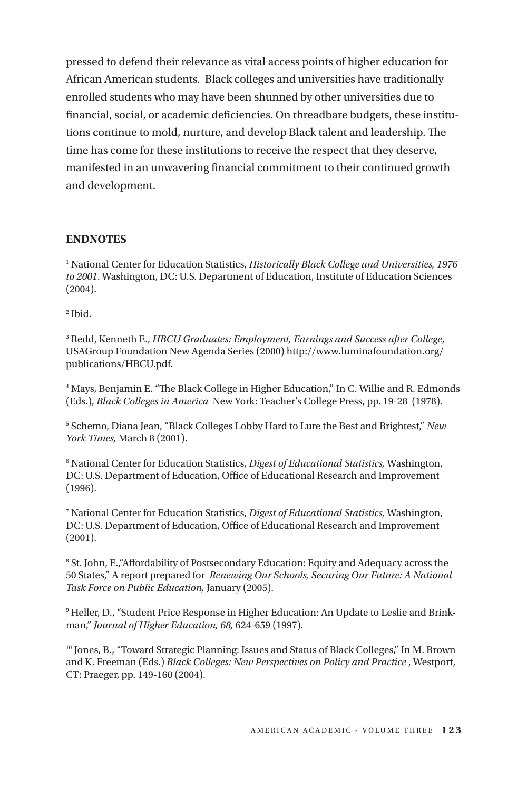pressed to defend their relevance as vital access points of higher education for African American students. Black colleges and universities have traditionally enrolled students who may have been shunned by other universities due to financial, social, or academic deficiencies. On threadbare budgets, these institutions continue to mold, nurture, and develop Black talent and leadership. The time has come for these institutions to receive the respect that they deserve, manifested in an unwavering financial commitment to their continued growth and development.

#### **ENDNOTES**

<sup>1</sup> National Center for Education Statistics, *Historically Black College and Universities*, 1976 *to 2001*. Washington, DC: U.S. Department of Education, Institute of Education Sciences (2004).

2 Ibid.

3 Redd, Kenneth E., *HBCU Graduates: Employment, Earnings and Success after College*, USAGroup Foundation New Agenda Series (2000) http://www.luminafoundation.org/ publications/HBCU.pdf.

4 Mays, Benjamin E. "The Black College in Higher Education," In C. Willie and R. Edmonds (Eds.), *Black Colleges in America* New York: Teacher's College Press, pp. 19-28 (1978).

5 Schemo, Diana Jean, "Black Colleges Lobby Hard to Lure the Best and Brightest," *New York Times,* March 8 (2001).

6 National Center for Education Statistics, *Digest of Educational Statistics,* Washington, DC: U.S. Department of Education, Office of Educational Research and Improvement (1996).

7 National Center for Education Statistics, *Digest of Educational Statistics,* Washington, DC: U.S. Department of Education, Office of Educational Research and Improvement (2001).

8 St. John, E.,"Affordability of Postsecondary Education: Equity and Adequacy across the 50 States," A report prepared for *Renewing Our Schools, Securing Our Future: A National Task Force on Public Education,* January (2005).

9 Heller, D., "Student Price Response in Higher Education: An Update to Leslie and Brinkman," *Journal of Higher Education, 68,* 624-659 (1997).

10 Jones, B., "Toward Strategic Planning: Issues and Status of Black Colleges," In M. Brown and K. Freeman (Eds.) *Black Colleges: New Perspectives on Policy and Practice* , Westport, CT: Praeger, pp. 149-160 (2004).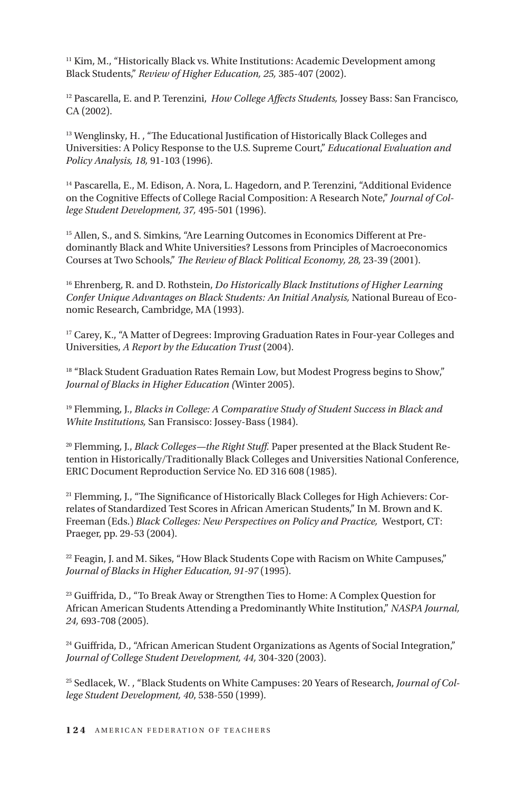<sup>11</sup> Kim, M., "Historically Black vs. White Institutions: Academic Development among Black Students," *Review of Higher Education, 25,* 385-407 (2002).

12 Pascarella, E. and P. Terenzini, *How College Affects Students,* Jossey Bass: San Francisco, CA (2002).

<sup>13</sup> Wenglinsky, H., "The Educational Justification of Historically Black Colleges and Universities: A Policy Response to the U.S. Supreme Court," *Educational Evaluation and Policy Analysis, 18,* 91-103 (1996).

14 Pascarella, E., M. Edison, A. Nora, L. Hagedorn, and P. Terenzini, "Additional Evidence on the Cognitive Effects of College Racial Composition: A Research Note," *Journal of College Student Development, 37,* 495-501 (1996).

15 Allen, S., and S. Simkins, "Are Learning Outcomes in Economics Different at Predominantly Black and White Universities? Lessons from Principles of Macroeconomics Courses at Two Schools," *The Review of Black Political Economy, 28,* 23-39 (2001).

16 Ehrenberg, R. and D. Rothstein, *Do Historically Black Institutions of Higher Learning Confer Unique Advantages on Black Students: An Initial Analysis,* National Bureau of Economic Research, Cambridge, MA (1993).

<sup>17</sup> Carev, K., "A Matter of Degrees: Improving Graduation Rates in Four-year Colleges and Universities, *A Report by the Education Trust* (2004).

<sup>18</sup> "Black Student Graduation Rates Remain Low, but Modest Progress begins to Show," *Journal of Blacks in Higher Education (*Winter 2005).

19 Flemming, J., *Blacks in College: A Comparative Study of Student Success in Black and White Institutions,* San Fransisco: Jossey-Bass (1984).

20 Flemming, J., *Black Colleges—the Right Stuff.* Paper presented at the Black Student Retention in Historically/Traditionally Black Colleges and Universities National Conference, ERIC Document Reproduction Service No. ED 316 608 (1985).

21 Flemming, J., "The Significance of Historically Black Colleges for High Achievers: Correlates of Standardized Test Scores in African American Students," In M. Brown and K. Freeman (Eds.) *Black Colleges: New Perspectives on Policy and Practice,* Westport, CT: Praeger, pp. 29-53 (2004).

<sup>22</sup> Feagin, J. and M. Sikes, "How Black Students Cope with Racism on White Campuses," *Journal of Blacks in Higher Education, 91-97* (1995).

23 Guiffrida, D., "To Break Away or Strengthen Ties to Home: A Complex Question for African American Students Attending a Predominantly White Institution," *NASPA Journal, 24,* 693-708 (2005).

<sup>24</sup> Guiffrida, D., "African American Student Organizations as Agents of Social Integration," *Journal of College Student Development, 44,* 304-320 (2003).

25 Sedlacek, W. , "Black Students on White Campuses: 20 Years of Research, *Journal of College Student Development, 40*, 538-550 (1999).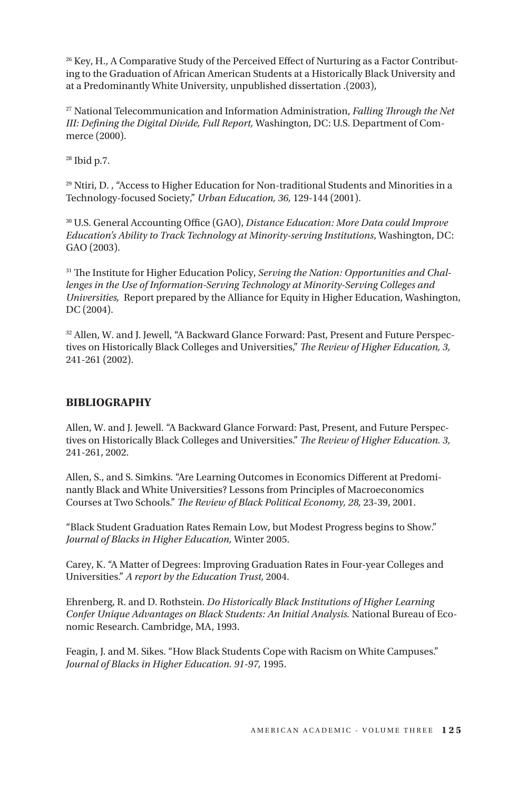<sup>26</sup> Key, H., A Comparative Study of the Perceived Effect of Nurturing as a Factor Contributing to the Graduation of African American Students at a Historically Black University and at a Predominantly White University, unpublished dissertation .(2003),

27 National Telecommunication and Information Administration, *Falling Through the Net III: Defining the Digital Divide, Full Report,* Washington, DC: U.S. Department of Commerce (2000).

28 Ibid p.7.

29 Ntiri, D. , "Access to Higher Education for Non-traditional Students and Minorities in a Technology-focused Society," *Urban Education, 36,* 129-144 (2001).

30 U.S. General Accounting Office (GAO), *Distance Education: More Data could Improve Education's Ability to Track Technology at Minority-serving Institutions*, Washington, DC: GAO (2003).

31 The Institute for Higher Education Policy, *Serving the Nation: Opportunities and Challenges in the Use of Information-Serving Technology at Minority-Serving Colleges and Universities,* Report prepared by the Alliance for Equity in Higher Education, Washington, DC (2004).

<sup>32</sup> Allen, W. and J. Jewell, "A Backward Glance Forward: Past, Present and Future Perspectives on Historically Black Colleges and Universities," *The Review of Higher Education, 3,*  241-261 (2002).

#### **BIBLIOGRAPHY**

Allen, W. and J. Jewell. "A Backward Glance Forward: Past, Present, and Future Perspectives on Historically Black Colleges and Universities." *The Review of Higher Education. 3,*  241-261, 2002.

Allen, S., and S. Simkins. "Are Learning Outcomes in Economics Different at Predominantly Black and White Universities? Lessons from Principles of Macroeconomics Courses at Two Schools." *The Review of Black Political Economy, 28,* 23-39, 2001.

"Black Student Graduation Rates Remain Low, but Modest Progress begins to Show." *Journal of Blacks in Higher Education,* Winter 2005.

Carey, K. "A Matter of Degrees: Improving Graduation Rates in Four-year Colleges and Universities." *A report by the Education Trust,* 2004.

Ehrenberg, R. and D. Rothstein. *Do Historically Black Institutions of Higher Learning Confer Unique Advantages on Black Students: An Initial Analysis.* National Bureau of Economic Research. Cambridge, MA, 1993.

Feagin, J. and M. Sikes. "How Black Students Cope with Racism on White Campuses." *Journal of Blacks in Higher Education. 91-97,* 1995.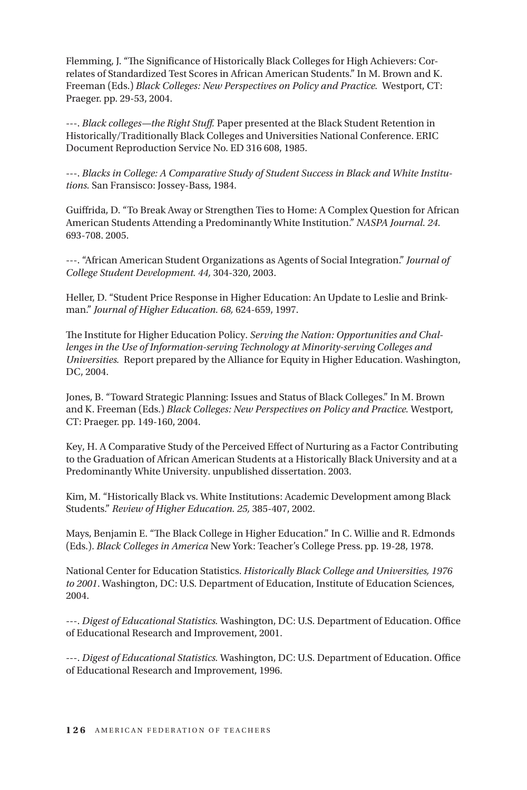Flemming, J. "The Significance of Historically Black Colleges for High Achievers: Correlates of Standardized Test Scores in African American Students." In M. Brown and K. Freeman (Eds.) *Black Colleges: New Perspectives on Policy and Practice.* Westport, CT: Praeger. pp. 29-53, 2004.

---. *Black colleges—the Right Stuff.* Paper presented at the Black Student Retention in Historically/Traditionally Black Colleges and Universities National Conference. ERIC Document Reproduction Service No. ED 316 608, 1985.

---. *Blacks in College: A Comparative Study of Student Success in Black and White Institutions.* San Fransisco: Jossey-Bass, 1984.

Guiffrida, D. "To Break Away or Strengthen Ties to Home: A Complex Question for African American Students Attending a Predominantly White Institution." *NASPA Journal. 24.*  693-708. 2005.

---. "African American Student Organizations as Agents of Social Integration." *Journal of College Student Development. 44,* 304-320, 2003.

Heller, D. "Student Price Response in Higher Education: An Update to Leslie and Brinkman." *Journal of Higher Education. 68,* 624-659, 1997.

The Institute for Higher Education Policy. *Serving the Nation: Opportunities and Challenges in the Use of Information-serving Technology at Minority-serving Colleges and Universities.* Report prepared by the Alliance for Equity in Higher Education. Washington, DC, 2004.

Jones, B. "Toward Strategic Planning: Issues and Status of Black Colleges." In M. Brown and K. Freeman (Eds.) *Black Colleges: New Perspectives on Policy and Practice.* Westport, CT: Praeger. pp. 149-160, 2004.

Key, H. A Comparative Study of the Perceived Effect of Nurturing as a Factor Contributing to the Graduation of African American Students at a Historically Black University and at a Predominantly White University. unpublished dissertation. 2003.

Kim, M. "Historically Black vs. White Institutions: Academic Development among Black Students." *Review of Higher Education. 25,* 385-407, 2002.

Mays, Benjamin E. "The Black College in Higher Education." In C. Willie and R. Edmonds (Eds.). *Black Colleges in America* New York: Teacher's College Press. pp. 19-28, 1978.

National Center for Education Statistics. *Historically Black College and Universities, 1976 to 2001*. Washington, DC: U.S. Department of Education, Institute of Education Sciences, 2004.

---. *Digest of Educational Statistics.* Washington, DC: U.S. Department of Education. Office of Educational Research and Improvement, 2001.

---. *Digest of Educational Statistics.* Washington, DC: U.S. Department of Education. Office of Educational Research and Improvement, 1996.